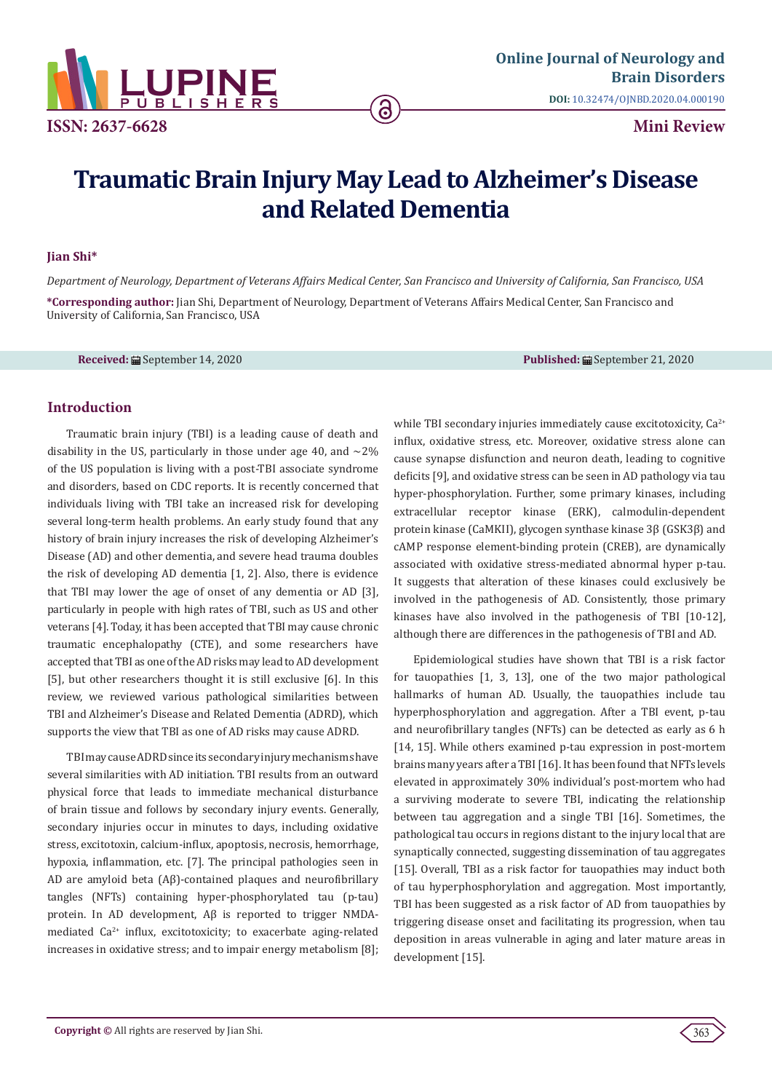

# **Traumatic Brain Injury May Lead to Alzheimer's Disease and Related Dementia**

ခ

### **Jian Shi\***

*Department of Neurology, Department of Veterans Affairs Medical Center, San Francisco and University of California, San Francisco, USA*

**\*Corresponding author:** Jian Shi, Department of Neurology, Department of Veterans Affairs Medical Center, San Francisco and University of California, San Francisco, USA

**Received:** ■ September 14, 2020 **Published:** ■ September 21, 2020

# **Introduction**

Traumatic brain injury (TBI) is a leading cause of death and disability in the US, particularly in those under age 40, and  $\sim$ 2% of the US population is living with a post-TBI associate syndrome and disorders, based on CDC reports. It is recently concerned that individuals living with TBI take an increased risk for developing several long-term health problems. An early study found that any history of brain injury increases the risk of developing Alzheimer's Disease (AD) and other dementia, and severe head trauma doubles the risk of developing AD dementia [1, 2]. Also, there is evidence that TBI may lower the age of onset of any dementia or AD [3], particularly in people with high rates of TBI, such as US and other veterans [4]. Today, it has been accepted that TBI may cause chronic traumatic encephalopathy (CTE), and some researchers have accepted that TBI as one of the AD risks may lead to AD development [5], but other researchers thought it is still exclusive [6]. In this review, we reviewed various pathological similarities between TBI and Alzheimer's Disease and Related Dementia (ADRD), which supports the view that TBI as one of AD risks may cause ADRD.

TBI may cause ADRD since its secondary injury mechanisms have several similarities with AD initiation. TBI results from an outward physical force that leads to immediate mechanical disturbance of brain tissue and follows by secondary injury events. Generally, secondary injuries occur in minutes to days, including oxidative stress, excitotoxin, calcium-influx, apoptosis, necrosis, hemorrhage, hypoxia, inflammation, etc. [7]. The principal pathologies seen in AD are amyloid beta (Aβ)-contained plaques and neurofibrillary tangles (NFTs) containing hyper-phosphorylated tau (p-tau) protein. In AD development, Aβ is reported to trigger NMDAmediated  $Ca^{2+}$  influx, excitotoxicity; to exacerbate aging-related increases in oxidative stress; and to impair energy metabolism [8]; while TBI secondary injuries immediately cause excitotoxicity, Ca<sup>2+</sup> influx, oxidative stress, etc. Moreover, oxidative stress alone can cause synapse disfunction and neuron death, leading to cognitive deficits [9], and oxidative stress can be seen in AD pathology via tau hyper-phosphorylation. Further, some primary kinases, including extracellular receptor kinase (ERK), calmodulin-dependent protein kinase (CaMKII), glycogen synthase kinase 3β (GSK3β) and cAMP response element-binding protein (CREB), are dynamically associated with oxidative stress-mediated abnormal hyper p-tau. It suggests that alteration of these kinases could exclusively be involved in the pathogenesis of AD. Consistently, those primary kinases have also involved in the pathogenesis of TBI [10-12], although there are differences in the pathogenesis of TBI and AD.

Epidemiological studies have shown that TBI is a risk factor for tauopathies [1, 3, 13], one of the two major pathological hallmarks of human AD. Usually, the tauopathies include tau hyperphosphorylation and aggregation. After a TBI event, p-tau and neurofibrillary tangles (NFTs) can be detected as early as 6 h [14, 15]. While others examined p-tau expression in post-mortem brains many years after a TBI [16]. It has been found that NFTs levels elevated in approximately 30% individual's post-mortem who had a surviving moderate to severe TBI, indicating the relationship between tau aggregation and a single TBI [16]. Sometimes, the pathological tau occurs in regions distant to the injury local that are synaptically connected, suggesting dissemination of tau aggregates [15]. Overall, TBI as a risk factor for tauopathies may induct both of tau hyperphosphorylation and aggregation. Most importantly, TBI has been suggested as a risk factor of AD from tauopathies by triggering disease onset and facilitating its progression, when tau deposition in areas vulnerable in aging and later mature areas in development [15].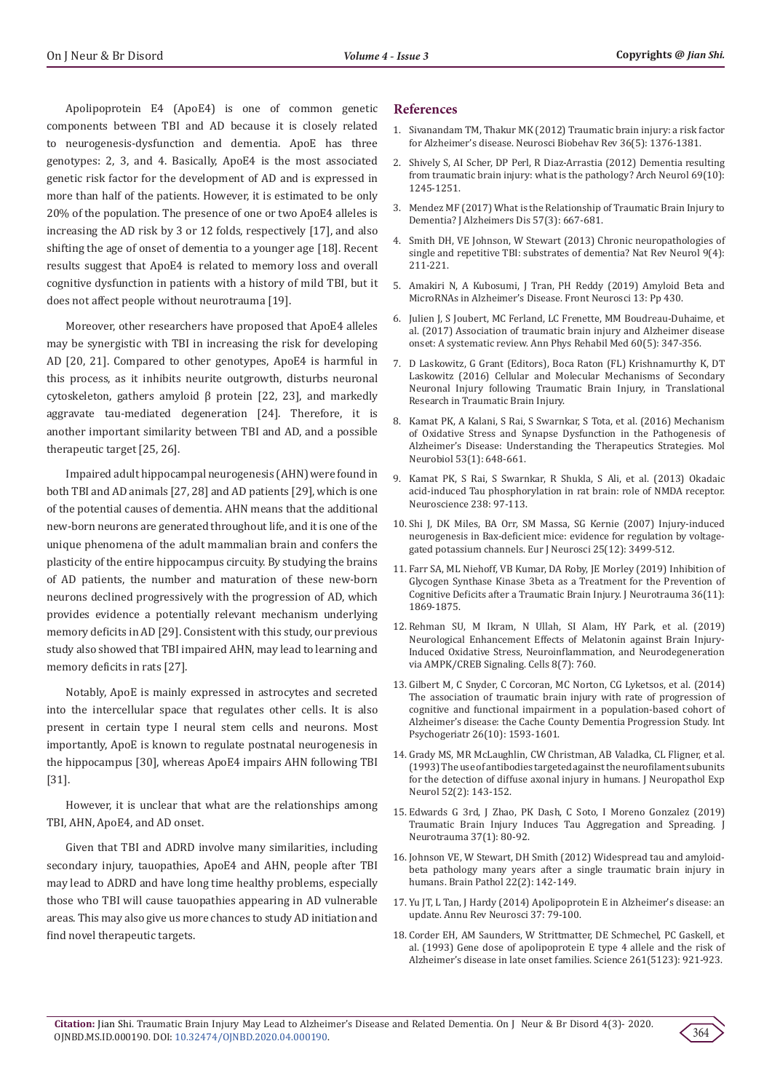Apolipoprotein E4 (ApoE4) is one of common genetic components between TBI and AD because it is closely related to neurogenesis-dysfunction and dementia. ApoE has three genotypes: 2, 3, and 4. Basically, ApoE4 is the most associated genetic risk factor for the development of AD and is expressed in more than half of the patients. However, it is estimated to be only 20% of the population. The presence of one or two ApoE4 alleles is increasing the AD risk by 3 or 12 folds, respectively [17], and also shifting the age of onset of dementia to a younger age [18]. Recent results suggest that ApoE4 is related to memory loss and overall cognitive dysfunction in patients with a history of mild TBI, but it does not affect people without neurotrauma [19].

Moreover, other researchers have proposed that ApoE4 alleles may be synergistic with TBI in increasing the risk for developing AD [20, 21]. Compared to other genotypes, ApoE4 is harmful in this process, as it inhibits neurite outgrowth, disturbs neuronal cytoskeleton, gathers amyloid β protein [22, 23], and markedly aggravate tau-mediated degeneration [24]. Therefore, it is another important similarity between TBI and AD, and a possible therapeutic target [25, 26].

Impaired adult hippocampal neurogenesis (AHN) were found in both TBI and AD animals [27, 28] and AD patients [29], which is one of the potential causes of dementia. AHN means that the additional new-born neurons are generated throughout life, and it is one of the unique phenomena of the adult mammalian brain and confers the plasticity of the entire hippocampus circuity. By studying the brains of AD patients, the number and maturation of these new-born neurons declined progressively with the progression of AD, which provides evidence a potentially relevant mechanism underlying memory deficits in AD [29]. Consistent with this study, our previous study also showed that TBI impaired AHN, may lead to learning and memory deficits in rats [27].

Notably, ApoE is mainly expressed in astrocytes and secreted into the intercellular space that regulates other cells. It is also present in certain type I neural stem cells and neurons. Most importantly, ApoE is known to regulate postnatal neurogenesis in the hippocampus [30], whereas ApoE4 impairs AHN following TBI [31].

However, it is unclear that what are the relationships among TBI, AHN, ApoE4, and AD onset.

Given that TBI and ADRD involve many similarities, including secondary injury, tauopathies, ApoE4 and AHN, people after TBI may lead to ADRD and have long time healthy problems, especially those who TBI will cause tauopathies appearing in AD vulnerable areas. This may also give us more chances to study AD initiation and find novel therapeutic targets.

#### **References**

- 1. [Sivanandam TM, Thakur MK \(2012\) Traumatic brain injury: a risk factor](https://pubmed.ncbi.nlm.nih.gov/22390915/) [for Alzheimer's disease. Neurosci Biobehav Rev 36\(5\): 1376-1381.](https://pubmed.ncbi.nlm.nih.gov/22390915/)
- 2. [Shively S, AI Scher, DP Perl, R Diaz-Arrastia \(2012\) Dementia resulting](https://pubmed.ncbi.nlm.nih.gov/22776913/) [from traumatic brain injury: what is the pathology? Arch Neurol 69\(10\):](https://pubmed.ncbi.nlm.nih.gov/22776913/) [1245-1251.](https://pubmed.ncbi.nlm.nih.gov/22776913/)
- 3. [Mendez MF \(2017\) What is the Relationship of Traumatic Brain Injury to](https://pubmed.ncbi.nlm.nih.gov/28269777/) [Dementia? J Alzheimers Dis 57\(3\): 667-681.](https://pubmed.ncbi.nlm.nih.gov/28269777/)
- 4. [Smith DH, VE Johnson, W Stewart \(2013\) Chronic neuropathologies of](https://pubmed.ncbi.nlm.nih.gov/23458973/) [single and repetitive TBI: substrates of dementia? Nat Rev Neurol 9\(4\):](https://pubmed.ncbi.nlm.nih.gov/23458973/) [211-221.](https://pubmed.ncbi.nlm.nih.gov/23458973/)
- 5. [Amakiri N, A Kubosumi, J Tran, PH Reddy \(2019\) Amyloid Beta and](https://www.frontiersin.org/articles/10.3389/fnins.2019.00430/full) [MicroRNAs in Alzheimer's Disease. Front Neurosci 13: Pp 430.](https://www.frontiersin.org/articles/10.3389/fnins.2019.00430/full)
- 6. [Julien J, S Joubert, MC Ferland, LC Frenette, MM Boudreau-Duhaime, et](https://www.sciencedirect.com/science/article/pii/S1877065717300532) [al. \(2017\) Association of traumatic brain injury and Alzheimer disease](https://www.sciencedirect.com/science/article/pii/S1877065717300532) [onset: A systematic review. Ann Phys Rehabil Med 60\(5\): 347-356.](https://www.sciencedirect.com/science/article/pii/S1877065717300532)
- 7. [D Laskowitz, G Grant \(Editors\), Boca Raton \(FL\) Krishnamurthy K, DT](https://www.ncbi.nlm.nih.gov/books/NBK326718/) [Laskowitz \(2016\) Cellular and Molecular Mechanisms of Secondary](https://www.ncbi.nlm.nih.gov/books/NBK326718/) [Neuronal Injury following Traumatic Brain Injury, in Translational](https://www.ncbi.nlm.nih.gov/books/NBK326718/) [Research in Traumatic Brain Injury.](https://www.ncbi.nlm.nih.gov/books/NBK326718/)
- 8. [Kamat PK, A Kalani, S Rai, S Swarnkar, S Tota, et al. \(2016\) Mechanism](https://link.springer.com/article/10.1007/s12035-014-9053-6) [of Oxidative Stress and Synapse Dysfunction in the Pathogenesis of](https://link.springer.com/article/10.1007/s12035-014-9053-6) [Alzheimer's Disease: Understanding the Therapeutics Strategies. Mol](https://link.springer.com/article/10.1007/s12035-014-9053-6) [Neurobiol 53\(1\): 648-661.](https://link.springer.com/article/10.1007/s12035-014-9053-6)
- 9. [Kamat PK, S Rai, S Swarnkar, R Shukla, S Ali, et al. \(2013\) Okadaic](https://www.sciencedirect.com/science/article/abs/pii/S030645221300122X) [acid-induced Tau phosphorylation in rat brain: role of NMDA receptor.](https://www.sciencedirect.com/science/article/abs/pii/S030645221300122X) [Neuroscience 238: 97-113.](https://www.sciencedirect.com/science/article/abs/pii/S030645221300122X)
- 10. [Shi J, DK Miles, BA Orr, SM Massa, SG Kernie \(2007\) Injury-induced](https://pubmed.ncbi.nlm.nih.gov/17610570/) [neurogenesis in Bax-deficient mice: evidence for regulation by voltage](https://pubmed.ncbi.nlm.nih.gov/17610570/)[gated potassium channels. Eur J Neurosci 25\(12\): 3499-512.](https://pubmed.ncbi.nlm.nih.gov/17610570/)
- 11. [Farr SA, ML Niehoff, VB Kumar, DA Roby, JE Morley \(2019\) Inhibition of](https://pubmed.ncbi.nlm.nih.gov/30704365/) [Glycogen Synthase Kinase 3beta as a Treatment for the Prevention of](https://pubmed.ncbi.nlm.nih.gov/30704365/) [Cognitive Deficits after a Traumatic Brain Injury. J Neurotrauma 36\(11\):](https://pubmed.ncbi.nlm.nih.gov/30704365/) [1869-1875.](https://pubmed.ncbi.nlm.nih.gov/30704365/)
- 12. [Rehman SU, M Ikram, N Ullah, SI Alam, HY Park, et al. \(2019\)](https://pubmed.ncbi.nlm.nih.gov/31330909/) [Neurological Enhancement Effects of Melatonin against Brain Injury-](https://pubmed.ncbi.nlm.nih.gov/31330909/)[Induced Oxidative Stress, Neuroinflammation, and Neurodegeneration](https://pubmed.ncbi.nlm.nih.gov/31330909/) [via AMPK/CREB Signaling. Cells 8\(7\): 760.](https://pubmed.ncbi.nlm.nih.gov/31330909/)
- 13. [Gilbert M, C Snyder, C Corcoran, MC Norton, CG Lyketsos, et al. \(2014\)](https://pubmed.ncbi.nlm.nih.gov/24831798/) [The association of traumatic brain injury with rate of progression of](https://pubmed.ncbi.nlm.nih.gov/24831798/) [cognitive and functional impairment in a population-based cohort of](https://pubmed.ncbi.nlm.nih.gov/24831798/) [Alzheimer's disease: the Cache County Dementia Progression Study. Int](https://pubmed.ncbi.nlm.nih.gov/24831798/) [Psychogeriatr 26\(10\): 1593-1601.](https://pubmed.ncbi.nlm.nih.gov/24831798/)
- 14. [Grady MS, MR McLaughlin, CW Christman, AB Valadka, CL Fligner, et al.](https://pubmed.ncbi.nlm.nih.gov/8440996/) [\(1993\) The use of antibodies targeted against the neurofilament subunits](https://pubmed.ncbi.nlm.nih.gov/8440996/) [for the detection of diffuse axonal injury in humans. J Neuropathol Exp](https://pubmed.ncbi.nlm.nih.gov/8440996/) [Neurol 52\(2\): 143-152.](https://pubmed.ncbi.nlm.nih.gov/8440996/)
- 15. [Edwards G 3rd, J Zhao, PK Dash, C Soto, I Moreno Gonzalez \(2019\)](https://pubmed.ncbi.nlm.nih.gov/31317824/) [Traumatic Brain Injury Induces Tau Aggregation and Spreading. J](https://pubmed.ncbi.nlm.nih.gov/31317824/) [Neurotrauma 37\(1\): 80-92.](https://pubmed.ncbi.nlm.nih.gov/31317824/)
- 16. [Johnson VE, W Stewart, DH Smith \(2012\) Widespread tau and amyloid](https://pubmed.ncbi.nlm.nih.gov/21714827/)[beta pathology many years after a single traumatic brain injury in](https://pubmed.ncbi.nlm.nih.gov/21714827/) [humans. Brain Pathol 22\(2\): 142-149.](https://pubmed.ncbi.nlm.nih.gov/21714827/)
- 17. [Yu JT, L Tan, J Hardy \(2014\) Apolipoprotein E in Alzheimer's disease: an](https://pubmed.ncbi.nlm.nih.gov/24821312/) [update. Annu Rev Neurosci 37: 79-100.](https://pubmed.ncbi.nlm.nih.gov/24821312/)
- 18. [Corder EH, AM Saunders, W Strittmatter, DE Schmechel, PC Gaskell, et](https://pubmed.ncbi.nlm.nih.gov/8346443/) [al. \(1993\) Gene dose of apolipoprotein E type 4 allele and the risk of](https://pubmed.ncbi.nlm.nih.gov/8346443/) [Alzheimer's disease in late onset families. Science 261\(5123\): 921-923.](https://pubmed.ncbi.nlm.nih.gov/8346443/)